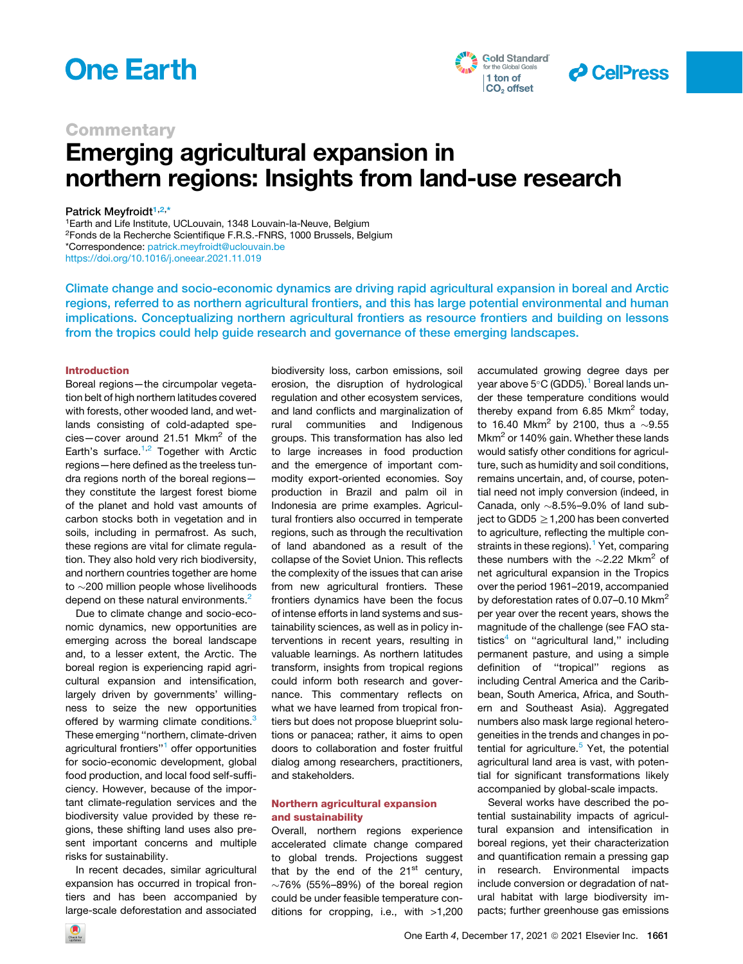





### **Commentary**

# Emerging agricultural expansion in northern regions: Insights from land-use research

Patrick Meyfroidt<sup>[1,](#page-0-0)[2,](#page-0-1)[\\*](#page-0-2)</sup>

<span id="page-0-2"></span><span id="page-0-1"></span><span id="page-0-0"></span>1Earth and Life Institute, UCLouvain, 1348 Louvain-la-Neuve, Belgium 2Fonds de la Recherche Scientifique F.R.S.-FNRS, 1000 Brussels, Belgium \*Correspondence: [patrick.meyfroidt@uclouvain.be](mailto:patrick.meyfroidt@uclouvain.be) <https://doi.org/10.1016/j.oneear.2021.11.019>

Climate change and socio-economic dynamics are driving rapid agricultural expansion in boreal and Arctic regions, referred to as northern agricultural frontiers, and this has large potential environmental and human implications. Conceptualizing northern agricultural frontiers as resource frontiers and building on lessons from the tropics could help guide research and governance of these emerging landscapes.

### Introduction

Boreal regions—the circumpolar vegetation belt of high northern latitudes covered with forests, other wooded land, and wetlands consisting of cold-adapted species-cover around 21.51 Mkm<sup>2</sup> of the Earth's surface. $1,2$  $1,2$  $1,2$  Together with Arctic regions—here defined as the treeless tundra regions north of the boreal regions they constitute the largest forest biome of the planet and hold vast amounts of carbon stocks both in vegetation and in soils, including in permafrost. As such, these regions are vital for climate regulation. They also hold very rich biodiversity, and northern countries together are home to  $\sim$  200 million people whose livelihoods depend on these natural environments.<sup>[2](#page-3-1)</sup>

Due to climate change and socio-economic dynamics, new opportunities are emerging across the boreal landscape and, to a lesser extent, the Arctic. The boreal region is experiencing rapid agricultural expansion and intensification, largely driven by governments' willingness to seize the new opportunities offered by warming climate conditions.<sup>[3](#page-3-2)</sup> These emerging ''northern, climate-driven agricultural frontiers''[1](#page-3-0) offer opportunities for socio-economic development, global food production, and local food self-sufficiency. However, because of the important climate-regulation services and the biodiversity value provided by these regions, these shifting land uses also present important concerns and multiple risks for sustainability.

In recent decades, similar agricultural expansion has occurred in tropical frontiers and has been accompanied by large-scale deforestation and associated biodiversity loss, carbon emissions, soil erosion, the disruption of hydrological regulation and other ecosystem services, and land conflicts and marginalization of rural communities and Indigenous groups. This transformation has also led to large increases in food production and the emergence of important commodity export-oriented economies. Soy production in Brazil and palm oil in Indonesia are prime examples. Agricultural frontiers also occurred in temperate regions, such as through the recultivation of land abandoned as a result of the collapse of the Soviet Union. This reflects the complexity of the issues that can arise from new agricultural frontiers. These frontiers dynamics have been the focus of intense efforts in land systems and sustainability sciences, as well as in policy interventions in recent years, resulting in valuable learnings. As northern latitudes transform, insights from tropical regions could inform both research and governance. This commentary reflects on what we have learned from tropical frontiers but does not propose blueprint solutions or panacea; rather, it aims to open doors to collaboration and foster fruitful dialog among researchers, practitioners, and stakeholders.

### Northern agricultural expansion and sustainability

Overall, northern regions experience accelerated climate change compared to global trends. Projections suggest that by the end of the  $21<sup>st</sup>$  century,  $\sim$ 76% (55%–89%) of the boreal region could be under feasible temperature conditions for cropping, i.e., with >1,200

accumulated growing degree days per year above  $5^{\circ}$ C (GDD5).<sup>[1](#page-3-0)</sup> Boreal lands under these temperature conditions would thereby expand from 6.85 Mkm<sup>2</sup> today, to 16.40 Mkm<sup>2</sup> by 2100, thus a  $\sim$ 9.55 Mkm<sup>2</sup> or 140% gain. Whether these lands would satisfy other conditions for agriculture, such as humidity and soil conditions, remains uncertain, and, of course, potential need not imply conversion (indeed, in Canada, only  $\sim$ 8.5%–9.0% of land subject to GDD5  $\geq$  1,200 has been converted to agriculture, reflecting the multiple con-straints in these regions).<sup>[1](#page-3-0)</sup> Yet, comparing these numbers with the  $\sim$ 2.22 Mkm<sup>2</sup> of net agricultural expansion in the Tropics over the period 1961–2019, accompanied by deforestation rates of 0.07–0.10 Mkm<sup>2</sup> per year over the recent years, shows the magnitude of the challenge (see FAO statistics $4$  on "agricultural land," including permanent pasture, and using a simple definition of ''tropical'' regions as including Central America and the Caribbean, South America, Africa, and Southern and Southeast Asia). Aggregated numbers also mask large regional heterogeneities in the trends and changes in potential for agriculture. $5$  Yet, the potential agricultural land area is vast, with potential for significant transformations likely accompanied by global-scale impacts.

Several works have described the potential sustainability impacts of agricultural expansion and intensification in boreal regions, yet their characterization and quantification remain a pressing gap in research. Environmental impacts include conversion or degradation of natural habitat with large biodiversity impacts; further greenhouse gas emissions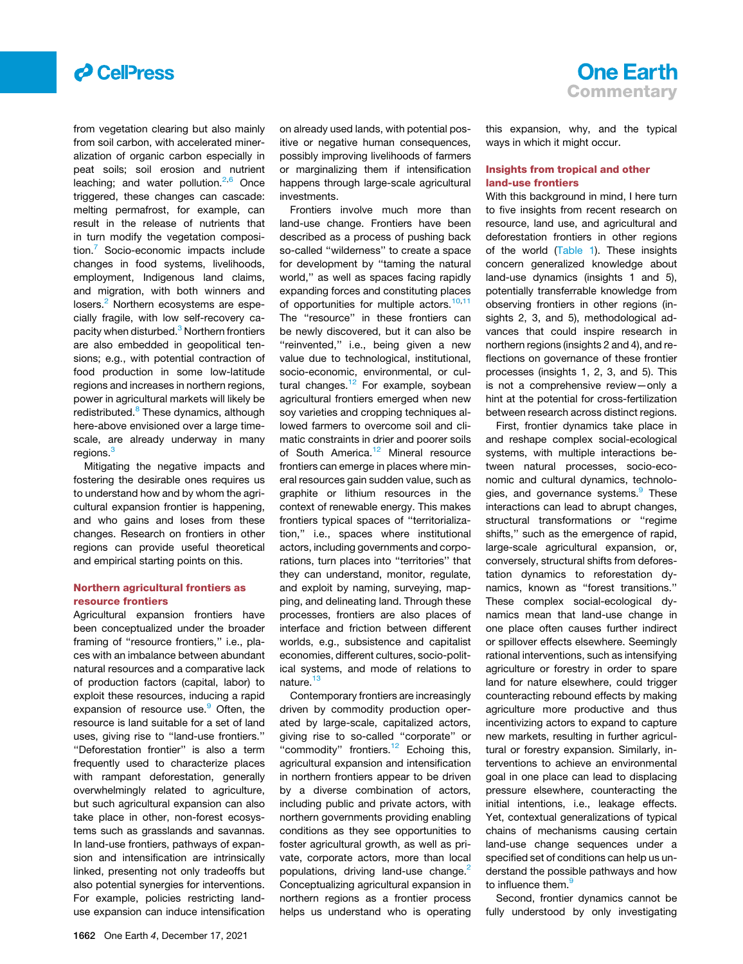

from vegetation clearing but also mainly from soil carbon, with accelerated mineralization of organic carbon especially in peat soils; soil erosion and nutrient leaching; and water pollution.<sup>[2](#page-3-1),[6](#page-3-5)</sup> Once triggered, these changes can cascade: melting permafrost, for example, can result in the release of nutrients that in turn modify the vegetation composition.[7](#page-3-6) Socio-economic impacts include changes in food systems, livelihoods, employment, Indigenous land claims, and migration, with both winners and losers.<sup>[2](#page-3-1)</sup> Northern ecosystems are especially fragile, with low self-recovery ca-pacity when disturbed.<sup>[3](#page-3-2)</sup> Northern frontiers are also embedded in geopolitical tensions; e.g., with potential contraction of food production in some low-latitude regions and increases in northern regions, power in agricultural markets will likely be redistributed.<sup>[8](#page-3-7)</sup> These dynamics, although here-above envisioned over a large timescale, are already underway in many regions.<sup>[3](#page-3-2)</sup>

Mitigating the negative impacts and fostering the desirable ones requires us to understand how and by whom the agricultural expansion frontier is happening, and who gains and loses from these changes. Research on frontiers in other regions can provide useful theoretical and empirical starting points on this.

### Northern agricultural frontiers as resource frontiers

Agricultural expansion frontiers have been conceptualized under the broader framing of "resource frontiers," i.e., places with an imbalance between abundant natural resources and a comparative lack of production factors (capital, labor) to exploit these resources, inducing a rapid expansion of resource use.<sup>[9](#page-3-8)</sup> Often, the resource is land suitable for a set of land uses, giving rise to ''land-use frontiers.'' ''Deforestation frontier'' is also a term frequently used to characterize places with rampant deforestation, generally overwhelmingly related to agriculture, but such agricultural expansion can also take place in other, non-forest ecosystems such as grasslands and savannas. In land-use frontiers, pathways of expansion and intensification are intrinsically linked, presenting not only tradeoffs but also potential synergies for interventions. For example, policies restricting landuse expansion can induce intensification

on already used lands, with potential positive or negative human consequences, possibly improving livelihoods of farmers or marginalizing them if intensification happens through large-scale agricultural investments.

Frontiers involve much more than land-use change. Frontiers have been described as a process of pushing back so-called ''wilderness'' to create a space for development by "taming the natural world,'' as well as spaces facing rapidly expanding forces and constituting places of opportunities for multiple actors.<sup>[10,](#page-3-9)[11](#page-3-10)</sup> The "resource" in these frontiers can be newly discovered, but it can also be "reinvented," i.e., being given a new value due to technological, institutional, socio-economic, environmental, or cul-tural changes.<sup>[12](#page-3-11)</sup> For example, soybean agricultural frontiers emerged when new soy varieties and cropping techniques allowed farmers to overcome soil and climatic constraints in drier and poorer soils of South America.<sup>[12](#page-3-11)</sup> Mineral resource frontiers can emerge in places where mineral resources gain sudden value, such as graphite or lithium resources in the context of renewable energy. This makes frontiers typical spaces of ''territorialization,'' i.e., spaces where institutional actors, including governments and corporations, turn places into ''territories'' that they can understand, monitor, regulate, and exploit by naming, surveying, mapping, and delineating land. Through these processes, frontiers are also places of interface and friction between different worlds, e.g., subsistence and capitalist economies, different cultures, socio-political systems, and mode of relations to nature.<sup>[13](#page-3-12)</sup>

Contemporary frontiers are increasingly driven by commodity production operated by large-scale, capitalized actors, giving rise to so-called ''corporate'' or "commodity" frontiers.<sup>[12](#page-3-11)</sup> Echoing this, agricultural expansion and intensification in northern frontiers appear to be driven by a diverse combination of actors, including public and private actors, with northern governments providing enabling conditions as they see opportunities to foster agricultural growth, as well as private, corporate actors, more than local populations, driving land-use change.<sup>[2](#page-3-1)</sup> Conceptualizing agricultural expansion in northern regions as a frontier process helps us understand who is operating

this expansion, why, and the typical ways in which it might occur.

### Insights from tropical and other land-use frontiers

With this background in mind, I here turn to five insights from recent research on resource, land use, and agricultural and deforestation frontiers in other regions of the world [\(Table 1](#page-2-0)). These insights concern generalized knowledge about land-use dynamics (insights 1 and 5), potentially transferrable knowledge from observing frontiers in other regions (insights 2, 3, and 5), methodological advances that could inspire research in northern regions (insights 2 and 4), and reflections on governance of these frontier processes (insights 1, 2, 3, and 5). This is not a comprehensive review—only a hint at the potential for cross-fertilization between research across distinct regions.

First, frontier dynamics take place in and reshape complex social-ecological systems, with multiple interactions between natural processes, socio-economic and cultural dynamics, technolo-gies, and governance systems.<sup>[9](#page-3-8)</sup> These interactions can lead to abrupt changes, structural transformations or "regime shifts,'' such as the emergence of rapid, large-scale agricultural expansion, or, conversely, structural shifts from deforestation dynamics to reforestation dynamics, known as ''forest transitions.'' These complex social-ecological dynamics mean that land-use change in one place often causes further indirect or spillover effects elsewhere. Seemingly rational interventions, such as intensifying agriculture or forestry in order to spare land for nature elsewhere, could trigger counteracting rebound effects by making agriculture more productive and thus incentivizing actors to expand to capture new markets, resulting in further agricultural or forestry expansion. Similarly, interventions to achieve an environmental goal in one place can lead to displacing pressure elsewhere, counteracting the initial intentions, i.e., leakage effects. Yet, contextual generalizations of typical chains of mechanisms causing certain land-use change sequences under a specified set of conditions can help us understand the possible pathways and how to influence them.<sup>9</sup>

Second, frontier dynamics cannot be fully understood by only investigating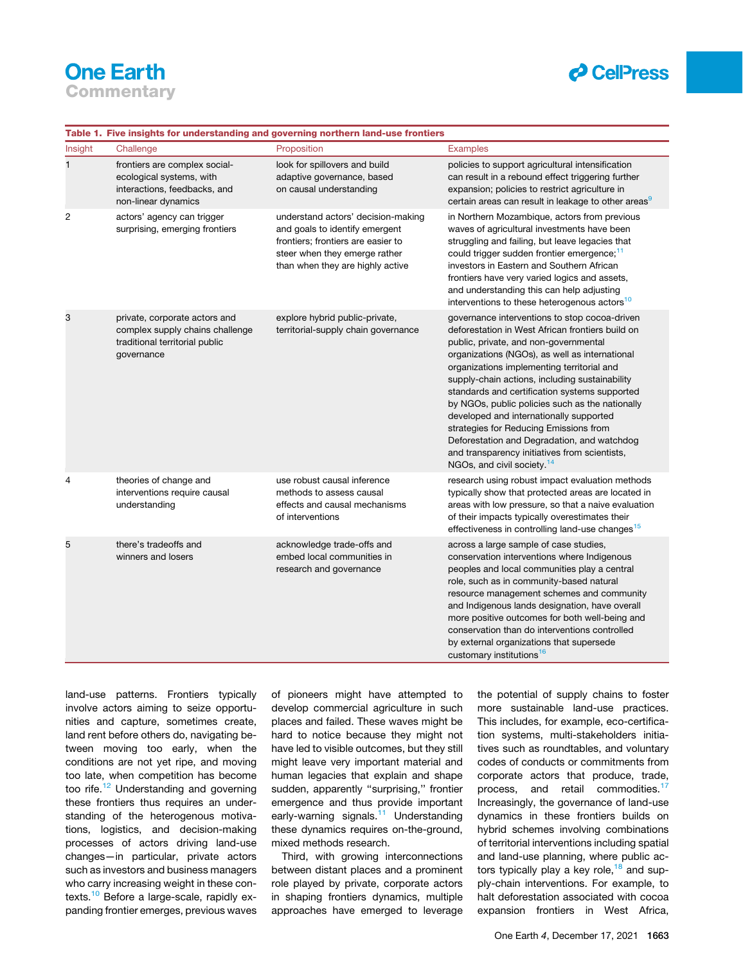## **One Earth Commentary**

### *d* CellPress

#### <span id="page-2-0"></span>Table 1. Five insights for understanding and governing northern land-use frontiers

| Insight | Challenge                                                                                                        | Proposition                                                                                                                                                                     | <b>Examples</b>                                                                                                                                                                                                                                                                                                                                                                                                                                                                                                                                                                                                                 |
|---------|------------------------------------------------------------------------------------------------------------------|---------------------------------------------------------------------------------------------------------------------------------------------------------------------------------|---------------------------------------------------------------------------------------------------------------------------------------------------------------------------------------------------------------------------------------------------------------------------------------------------------------------------------------------------------------------------------------------------------------------------------------------------------------------------------------------------------------------------------------------------------------------------------------------------------------------------------|
| 1       | frontiers are complex social-<br>ecological systems, with<br>interactions, feedbacks, and<br>non-linear dynamics | look for spillovers and build<br>adaptive governance, based<br>on causal understanding                                                                                          | policies to support agricultural intensification<br>can result in a rebound effect triggering further<br>expansion; policies to restrict agriculture in<br>certain areas can result in leakage to other areas                                                                                                                                                                                                                                                                                                                                                                                                                   |
| 2       | actors' agency can trigger<br>surprising, emerging frontiers                                                     | understand actors' decision-making<br>and goals to identify emergent<br>frontiers; frontiers are easier to<br>steer when they emerge rather<br>than when they are highly active | in Northern Mozambique, actors from previous<br>waves of agricultural investments have been<br>struggling and failing, but leave legacies that<br>could trigger sudden frontier emergence; <sup>11</sup><br>investors in Eastern and Southern African<br>frontiers have very varied logics and assets,<br>and understanding this can help adjusting<br>interventions to these heterogenous actors <sup>10</sup>                                                                                                                                                                                                                 |
| 3       | private, corporate actors and<br>complex supply chains challenge<br>traditional territorial public<br>governance | explore hybrid public-private,<br>territorial-supply chain governance                                                                                                           | governance interventions to stop cocoa-driven<br>deforestation in West African frontiers build on<br>public, private, and non-governmental<br>organizations (NGOs), as well as international<br>organizations implementing territorial and<br>supply-chain actions, including sustainability<br>standards and certification systems supported<br>by NGOs, public policies such as the nationally<br>developed and internationally supported<br>strategies for Reducing Emissions from<br>Deforestation and Degradation, and watchdog<br>and transparency initiatives from scientists,<br>NGOs, and civil society. <sup>14</sup> |
| 4       | theories of change and<br>interventions require causal<br>understanding                                          | use robust causal inference<br>methods to assess causal<br>effects and causal mechanisms<br>of interventions                                                                    | research using robust impact evaluation methods<br>typically show that protected areas are located in<br>areas with low pressure, so that a naive evaluation<br>of their impacts typically overestimates their<br>effectiveness in controlling land-use changes <sup>15</sup>                                                                                                                                                                                                                                                                                                                                                   |
| 5       | there's tradeoffs and<br>winners and losers                                                                      | acknowledge trade-offs and<br>embed local communities in<br>research and governance                                                                                             | across a large sample of case studies,<br>conservation interventions where Indigenous<br>peoples and local communities play a central<br>role, such as in community-based natural<br>resource management schemes and community<br>and Indigenous lands designation, have overall<br>more positive outcomes for both well-being and<br>conservation than do interventions controlled<br>by external organizations that supersede<br>customary institutions <sup>16</sup>                                                                                                                                                         |

land-use patterns. Frontiers typically involve actors aiming to seize opportunities and capture, sometimes create, land rent before others do, navigating between moving too early, when the conditions are not yet ripe, and moving too late, when competition has become too rife.<sup>[12](#page-3-11)</sup> Understanding and governing these frontiers thus requires an understanding of the heterogenous motivations, logistics, and decision-making processes of actors driving land-use changes—in particular, private actors such as investors and business managers who carry increasing weight in these contexts.<sup>10</sup> Before a large-scale, rapidly expanding frontier emerges, previous waves

of pioneers might have attempted to develop commercial agriculture in such places and failed. These waves might be hard to notice because they might not have led to visible outcomes, but they still might leave very important material and human legacies that explain and shape sudden, apparently "surprising," frontier emergence and thus provide important early-warning signals.<sup>[11](#page-3-10)</sup> Understanding these dynamics requires on-the-ground, mixed methods research.

Third, with growing interconnections between distant places and a prominent role played by private, corporate actors in shaping frontiers dynamics, multiple approaches have emerged to leverage the potential of supply chains to foster more sustainable land-use practices. This includes, for example, eco-certification systems, multi-stakeholders initiatives such as roundtables, and voluntary codes of conducts or commitments from corporate actors that produce, trade, process, and retail commodities.<sup>[17](#page-3-13)</sup> Increasingly, the governance of land-use dynamics in these frontiers builds on hybrid schemes involving combinations of territorial interventions including spatial and land-use planning, where public actors typically play a key role,  $18$  and supply-chain interventions. For example, to halt deforestation associated with cocoa expansion frontiers in West Africa,